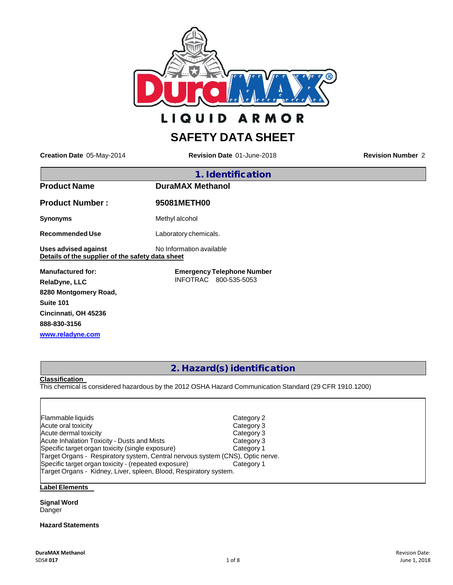

**ARMOR LIQUID** 

# **SAFETY DATA SHEET**

**Creation Date** 05-May-2014 **Revision Date** 01-June-2018 **Revision Number** 2

| 1. Identification                                                        |                                   |  |
|--------------------------------------------------------------------------|-----------------------------------|--|
| <b>Product Name</b>                                                      | <b>DuraMAX Methanol</b>           |  |
| <b>Product Number:</b>                                                   | 95081METH00                       |  |
| <b>Synonyms</b>                                                          | Methyl alcohol                    |  |
| <b>Recommended Use</b>                                                   | Laboratory chemicals.             |  |
| Uses advised against<br>Details of the supplier of the safety data sheet | No Information available          |  |
| <b>Manufactured for:</b>                                                 | <b>Emergency Telephone Number</b> |  |
| <b>RelaDyne, LLC</b>                                                     | INFOTRAC 800-535-5053             |  |
| 8280 Montgomery Road,                                                    |                                   |  |
| Suite 101                                                                |                                   |  |

**888-830-3156 [www.reladyne.com](http://www.reladyne.com/)**

**Cincinnati, OH 45236**

# 2. Hazard(s) identification

**Classification**

This chemical is considered hazardous by the 2012 OSHA Hazard Communication Standard (29 CFR 1910.1200)

| Flammable liquids                                                              | Category 2 |
|--------------------------------------------------------------------------------|------------|
| Acute oral toxicity                                                            | Category 3 |
| Acute dermal toxicity                                                          | Category 3 |
| <b>Acute Inhalation Toxicity - Dusts and Mists</b>                             | Category 3 |
| Specific target organ toxicity (single exposure)                               | Category 1 |
| Target Organs - Respiratory system, Central nervous system (CNS), Optic nerve. |            |
| Specific target organ toxicity - (repeated exposure)                           | Category 1 |
| Target Organs - Kidney, Liver, spleen, Blood, Respiratory system.              |            |
|                                                                                |            |

## **Label Elements**

**Signal Word** Danger

## **Hazard Statements**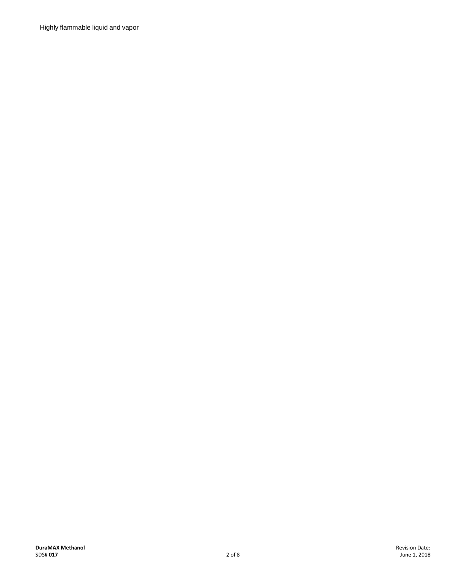Highly flammable liquid and vapor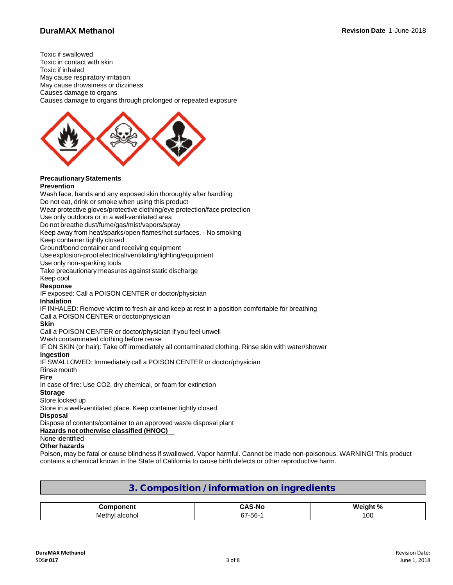Toxic if swallowed Toxic in contact with skin Toxic if inhaled May cause respiratory irritation May cause drowsiness or dizziness Causes damage to organs Causes damage to organs through prolonged or repeated exposure



#### **PrecautionaryStatements Prevention**

Wash face, hands and any exposed skin thoroughly after handling Do not eat, drink or smoke when using this product Wear protective gloves/protective clothing/eye protection/face protection Use only outdoors or in a well-ventilated area Do not breathe dust/fume/gas/mist/vapors/spray Keep away from heat/sparks/open flames/hot surfaces. - No smoking Keep container tightly closed Ground/bond container and receiving equipment Use explosion-proofelectrical/ventilating/lighting/equipment Use only non-sparking tools Take precautionary measures against static discharge Keep cool **Response** IF exposed: Call a POISON CENTER or doctor/physician **Inhalation** IF INHALED: Remove victim to fresh air and keep at rest in a position comfortable for breathing Call a POISON CENTER or doctor/physician **Skin** Call a POISON CENTER or doctor/physician if you feel unwell Wash contaminated clothing before reuse IF ON SKIN (or hair): Take off immediately all contaminated clothing. Rinse skin with water/shower **Ingestion** IF SWALLOWED: Immediately call a POISON CENTER or doctor/physician Rinse mouth **Fire** In case of fire: Use CO2, dry chemical, or foam for extinction **Storage** Store locked up Store in a well-ventilated place. Keep container tightly closed **Disposal**

Dispose of contents/container to an approved waste disposal plant

## **Hazards not otherwise classified (HNOC)**

## None identified

### **Other hazards**

Poison, may be fatal or cause blindness if swallowed. Vapor harmful. Cannot be made non-poisonous. WARNING! This product contains a chemical known in the State of California to cause birth defects or other reproductive harm.

## 3. Composition / information on ingredients

| $- - -$                                   | -146              | $\Omega$<br>.<br>w.<br>7ο. |
|-------------------------------------------|-------------------|----------------------------|
| ohol:<br>- - -<br>ллс<br>.<br>aĸ<br>7 I L | .,<br>-56-<br>67- | 00                         |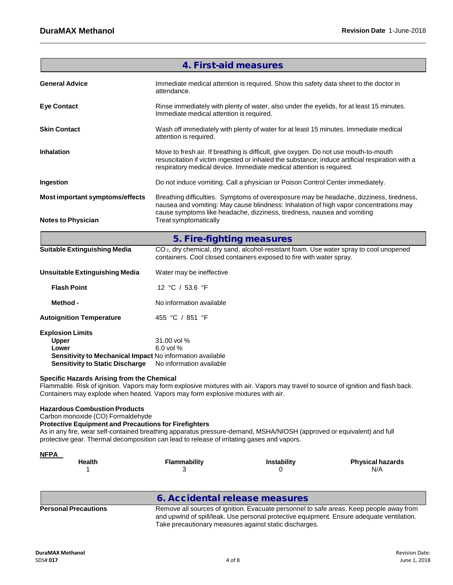| <b>4. First-aid measures</b>                                                                                                                            |                                                                                                                                                                                                                                                                 |  |  |
|---------------------------------------------------------------------------------------------------------------------------------------------------------|-----------------------------------------------------------------------------------------------------------------------------------------------------------------------------------------------------------------------------------------------------------------|--|--|
| <b>General Advice</b>                                                                                                                                   | Immediate medical attention is required. Show this safety data sheet to the doctor in<br>attendance.                                                                                                                                                            |  |  |
| <b>Eye Contact</b>                                                                                                                                      | Rinse immediately with plenty of water, also under the eyelids, for at least 15 minutes.<br>Immediate medical attention is required.                                                                                                                            |  |  |
| <b>Skin Contact</b>                                                                                                                                     | Wash off immediately with plenty of water for at least 15 minutes. Immediate medical<br>attention is required.                                                                                                                                                  |  |  |
| <b>Inhalation</b>                                                                                                                                       | Move to fresh air. If breathing is difficult, give oxygen. Do not use mouth-to-mouth<br>resuscitation if victim ingested or inhaled the substance; induce artificial respiration with a<br>respiratory medical device. Immediate medical attention is required. |  |  |
| Ingestion                                                                                                                                               | Do not induce vomiting. Call a physician or Poison Control Center immediately.                                                                                                                                                                                  |  |  |
| <b>Most important symptoms/effects</b>                                                                                                                  | Breathing difficulties. Symptoms of overexposure may be headache, dizziness, tiredness,<br>nausea and vomiting: May cause blindness: Inhalation of high vapor concentrations may<br>cause symptoms like headache, dizziness, tiredness, nausea and vomiting     |  |  |
| <b>Notes to Physician</b>                                                                                                                               | Treat symptomatically                                                                                                                                                                                                                                           |  |  |
|                                                                                                                                                         | 5. Fire-fighting measures                                                                                                                                                                                                                                       |  |  |
| <b>Suitable Extinguishing Media</b>                                                                                                                     | CO <sub>2</sub> , dry chemical, dry sand, alcohol-resistant foam. Use water spray to cool unopened<br>containers. Cool closed containers exposed to fire with water spray.                                                                                      |  |  |
| <b>Unsuitable Extinguishing Media</b>                                                                                                                   | Water may be ineffective                                                                                                                                                                                                                                        |  |  |
| <b>Flash Point</b>                                                                                                                                      | 12 °C / 53.6 °F                                                                                                                                                                                                                                                 |  |  |
| Method -                                                                                                                                                | No information available                                                                                                                                                                                                                                        |  |  |
| <b>Autoignition Temperature</b>                                                                                                                         | 455 °C / 851 °F                                                                                                                                                                                                                                                 |  |  |
| <b>Explosion Limits</b><br><b>Upper</b><br>Lower<br>Sensitivity to Mechanical Impact No information available<br><b>Sensitivity to Static Discharge</b> | 31.00 vol %<br>6.0 vol %<br>No information available                                                                                                                                                                                                            |  |  |
| <b>Specific Hazards Arising from the Chemical</b>                                                                                                       |                                                                                                                                                                                                                                                                 |  |  |

Flammable. Risk of ignition. Vapors may form explosive mixtures with air. Vapors may travel to source of ignition and flash back. Containers may explode when heated. Vapors may form explosive mixtures with air.

## **Hazardous Combustion Products**

Carbon monoxide (CO) Formaldehyde

## **Protective Equipment and Precautions for Firefighters**

As in any fire, wear self-contained breathing apparatus pressure-demand, MSHA/NIOSH (approved or equivalent) and full protective gear. Thermal decomposition can lead to release of irritating gases and vapors.

| <b>NFPA</b>   |              |                    |                         |
|---------------|--------------|--------------------|-------------------------|
| <b>Health</b> | Flammability | <b>Instability</b> | <b>Physical hazards</b> |
|               |              |                    | N/A                     |
|               |              |                    |                         |

|                             | 6. Accidental release measures                                                                                                                                                                                                                 |
|-----------------------------|------------------------------------------------------------------------------------------------------------------------------------------------------------------------------------------------------------------------------------------------|
| <b>Personal Precautions</b> | Remove all sources of ignition. Evacuate personnel to safe areas. Keep people away from<br>and upwind of spill/leak. Use personal protective equipment. Ensure adequate ventilation.<br>Take precautionary measures against static discharges. |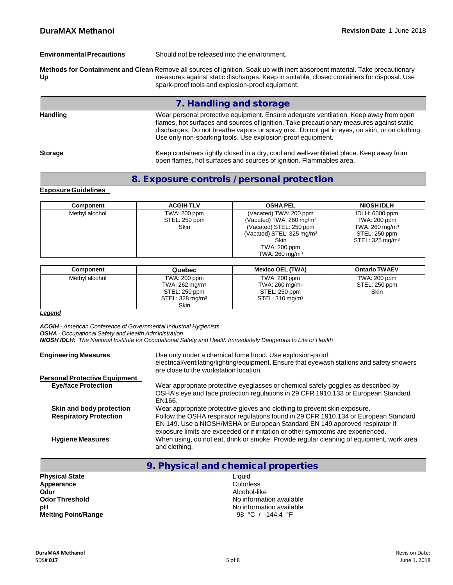| <b>Environmental Precautions</b>                                                                                                                                                                                                                                                   | Should not be released into the environment.                                                                                                                                                                                                                                                                                                     |  |
|------------------------------------------------------------------------------------------------------------------------------------------------------------------------------------------------------------------------------------------------------------------------------------|--------------------------------------------------------------------------------------------------------------------------------------------------------------------------------------------------------------------------------------------------------------------------------------------------------------------------------------------------|--|
| Methods for Containment and Clean Remove all sources of ignition. Soak up with inert absorbent material. Take precautionary<br>measures against static discharges. Keep in suitable, closed containers for disposal. Use<br>Up<br>spark-proof tools and explosion-proof equipment. |                                                                                                                                                                                                                                                                                                                                                  |  |
|                                                                                                                                                                                                                                                                                    | 7. Handling and storage                                                                                                                                                                                                                                                                                                                          |  |
| <b>Handling</b>                                                                                                                                                                                                                                                                    | Wear personal protective equipment. Ensure adequate ventilation. Keep away from open<br>flames, hot surfaces and sources of ignition. Take precautionary measures against static<br>discharges. Do not breathe vapors or spray mist. Do not get in eyes, on skin, or on clothing.<br>Use only non-sparking tools. Use explosion-proof equipment. |  |
| <b>Storage</b>                                                                                                                                                                                                                                                                     | Keep containers tightly closed in a dry, cool and well-ventilated place. Keep away from<br>open flames, hot surfaces and sources of ignition. Flammables area.                                                                                                                                                                                   |  |

# 8. Exposure controls / personal protection

## **Exposure Guidelines**

| Component      | <b>ACGIH TLV</b>                             | <b>OSHA PEL</b>                                                                                                                                                                          | <b>NIOSH IDLH</b>                                                                                          |
|----------------|----------------------------------------------|------------------------------------------------------------------------------------------------------------------------------------------------------------------------------------------|------------------------------------------------------------------------------------------------------------|
| Methyl alcohol | TWA: 200 ppm<br>STEL: 250 ppm<br><b>Skin</b> | (Vacated) TWA: 200 ppm<br>(Vacated) TWA: $260 \text{ mg/m}^3$<br>(Vacated) STEL: 250 ppm<br>(Vacated) STEL: $325 \,\mathrm{mg/m^3}$<br>Skin<br>TWA: 200 ppm<br>TWA: $260 \text{ mg/m}^3$ | IDLH: 6000 ppm<br>TWA: 200 ppm<br>TWA: $260 \text{ mg/m}^3$<br>STEL: 250 ppm<br>STEL: $325 \text{ mg/m}^3$ |

| Component      | Quebec                                                                                                   | <b>Mexico OEL (TWA)</b>                                                                      | <b>Ontario TWAEV</b>                  |
|----------------|----------------------------------------------------------------------------------------------------------|----------------------------------------------------------------------------------------------|---------------------------------------|
| Methyl alcohol | TWA: 200 ppm<br>TWA: $262 \text{ mg/m}^3$<br>STEL: 250 ppm<br>STEL: 328 mg/m <sup>3</sup><br><b>Skin</b> | TWA: 200 ppm<br>TWA: $260$ mg/m <sup>3</sup><br>STEL: 250 ppm<br>STEL: 310 mg/m <sup>3</sup> | TWA: 200 ppm<br>STEL: 250 ppm<br>Skin |

## *Legend*

*ACGIH - American Conference of Governmental Industrial Hygienists*

*OSHA - Occupational Safety and Health Administration*

*NIOSH IDLH: The National Institute for Occupational Safety and Health Immediately Dangerous to Life or Health*

| <b>Engineering Measures</b>          | Use only under a chemical fume hood. Use explosion-proof<br>electrical/ventilating/lighting/equipment. Ensure that eyewash stations and safety showers<br>are close to the workstation location.                                                        |
|--------------------------------------|---------------------------------------------------------------------------------------------------------------------------------------------------------------------------------------------------------------------------------------------------------|
| <b>Personal Protective Equipment</b> |                                                                                                                                                                                                                                                         |
| <b>Eye/face Protection</b>           | Wear appropriate protective eyeglasses or chemical safety goggles as described by<br>OSHA's eye and face protection regulations in 29 CFR 1910.133 or European Standard<br><b>EN166.</b>                                                                |
| Skin and body protection             | Wear appropriate protective gloves and clothing to prevent skin exposure.                                                                                                                                                                               |
| <b>Respiratory Protection</b>        | Follow the OSHA respirator regulations found in 29 CFR 1910.134 or European Standard<br>EN 149. Use a NIOSH/MSHA or European Standard EN 149 approved respirator if<br>exposure limits are exceeded or if irritation or other symptoms are experienced. |
| <b>Hygiene Measures</b>              | When using, do not eat, drink or smoke. Provide regular cleaning of equipment, work area<br>and clothing.                                                                                                                                               |

| 9. Physical and chemical properties |                          |
|-------------------------------------|--------------------------|
| <b>Physical State</b>               | Liquid                   |
| Appearance                          | <b>Colorless</b>         |
| Odor                                | Alcohol-like             |
| <b>Odor Threshold</b>               | No information available |
| рH                                  | No information available |
| <b>Melting Point/Range</b>          | -98 °C / -144.4 °F       |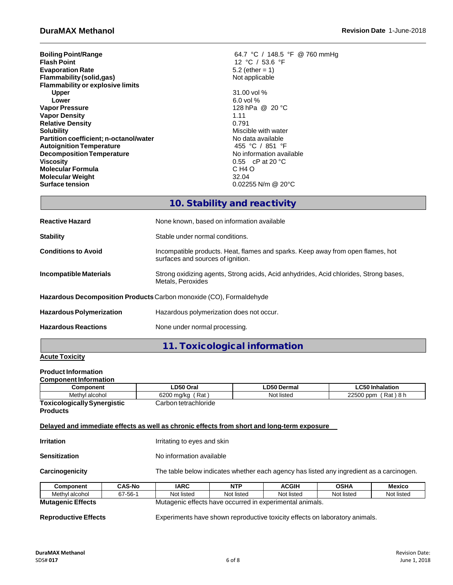| <b>Boiling Point/Range</b>              | 64.7 °C / 148.5 °F @ 760 mmHg     |
|-----------------------------------------|-----------------------------------|
| <b>Flash Point</b>                      | 12 °C / 53.6 °F                   |
| <b>Evaporation Rate</b>                 | 5.2 (ether = $1$ )                |
| Flammability (solid, gas)               | Not applicable                    |
| <b>Flammability or explosive limits</b> |                                   |
| <b>Upper</b>                            | 31.00 vol %                       |
| Lower                                   | $6.0$ vol %                       |
| <b>Vapor Pressure</b>                   | 128 hPa @ 20 °C                   |
| <b>Vapor Density</b>                    | 1.11                              |
| <b>Relative Density</b>                 | 0.791                             |
| <b>Solubility</b>                       | Miscible with water               |
| Partition coefficient; n-octanol/water  | No data available                 |
| <b>Autoignition Temperature</b>         | 455 °C / 851 °F                   |
| <b>Decomposition Temperature</b>        | No information available          |
| <b>Viscosity</b>                        | 0.55 $\,$ cP at 20 $\,^{\circ}$ C |
| <b>Molecular Formula</b>                | C H <sub>4</sub> O                |
| <b>Molecular Weight</b>                 | 32.04                             |
| <b>Surface tension</b>                  | $0.02255$ N/m @ 20 $^{\circ}$ C   |

## 10. Stability and reactivity

| <b>Reactive Hazard</b>          | None known, based on information available                                                                           |  |  |
|---------------------------------|----------------------------------------------------------------------------------------------------------------------|--|--|
| <b>Stability</b>                | Stable under normal conditions.                                                                                      |  |  |
| <b>Conditions to Avoid</b>      | Incompatible products. Heat, flames and sparks. Keep away from open flames, hot<br>surfaces and sources of ignition. |  |  |
| Incompatible Materials          | Strong oxidizing agents, Strong acids, Acid anhydrides, Acid chlorides, Strong bases,<br>Metals, Peroxides           |  |  |
|                                 | Hazardous Decomposition Products Carbon monoxide (CO), Formaldehyde                                                  |  |  |
| <b>Hazardous Polymerization</b> | Hazardous polymerization does not occur.                                                                             |  |  |
| <b>Hazardous Reactions</b>      | None under normal processing.                                                                                        |  |  |

## 11. Toxicological information

## **Acute Toxicity**

## **Product Information**

| Component                                                                                  |                                    | LD50 Oral                                                                                |            | LD50 Dermal  | <b>LC50 Inhalation</b> |            |  |
|--------------------------------------------------------------------------------------------|------------------------------------|------------------------------------------------------------------------------------------|------------|--------------|------------------------|------------|--|
|                                                                                            | Methyl alcohol<br>6200 mg/kg (Rat) |                                                                                          |            | Not listed   | 22500 ppm (Rat) 8 h    |            |  |
| <b>Toxicologically Synergistic</b>                                                         |                                    | Carbon tetrachloride                                                                     |            |              |                        |            |  |
| <b>Products</b>                                                                            |                                    |                                                                                          |            |              |                        |            |  |
| Delayed and immediate effects as well as chronic effects from short and long-term exposure |                                    |                                                                                          |            |              |                        |            |  |
|                                                                                            |                                    |                                                                                          |            |              |                        |            |  |
| <b>Irritation</b>                                                                          |                                    | Irritating to eyes and skin                                                              |            |              |                        |            |  |
| <b>Sensitization</b>                                                                       |                                    | No information available                                                                 |            |              |                        |            |  |
| Carcinogenicity                                                                            |                                    | The table below indicates whether each agency has listed any ingredient as a carcinogen. |            |              |                        |            |  |
| <b>Component</b>                                                                           | <b>CAS-No</b>                      | <b>IARC</b>                                                                              | <b>NTP</b> | <b>ACGIH</b> | <b>OSHA</b>            | Mexico     |  |
| Methyl alcohol                                                                             | 67-56-1                            | Not listed                                                                               | Not listed | Not listed   | Not listed             | Not listed |  |
| <b>Mutagenic Effects</b>                                                                   |                                    | Mutagenic effects have occurred in experimental animals.                                 |            |              |                        |            |  |

**Reproductive Effects** Experiments have shown reproductive toxicity effects on laboratory animals.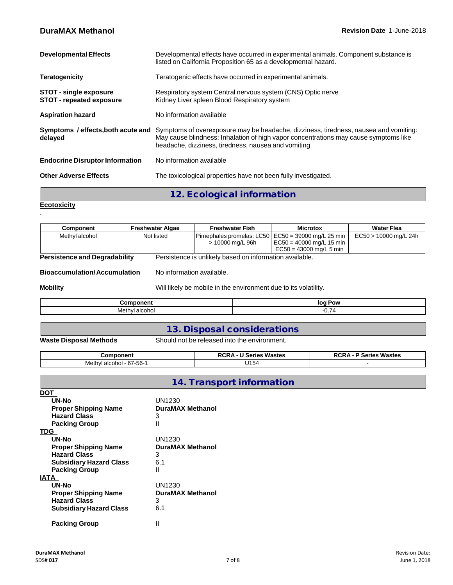| <b>Developmental Effects</b>                              | Developmental effects have occurred in experimental animals. Component substance is<br>listed on California Proposition 65 as a developmental hazard.                                                                               |  |  |  |
|-----------------------------------------------------------|-------------------------------------------------------------------------------------------------------------------------------------------------------------------------------------------------------------------------------------|--|--|--|
| <b>Teratogenicity</b>                                     | Teratogenic effects have occurred in experimental animals.                                                                                                                                                                          |  |  |  |
| STOT - single exposure<br><b>STOT - repeated exposure</b> | Respiratory system Central nervous system (CNS) Optic nerve<br>Kidney Liver spleen Blood Respiratory system                                                                                                                         |  |  |  |
| <b>Aspiration hazard</b>                                  | No information available                                                                                                                                                                                                            |  |  |  |
| Symptoms / effects, both acute and<br>delayed             | Symptoms of overexposure may be headache, dizziness, tiredness, nausea and vomiting:<br>May cause blindness: Inhalation of high vapor concentrations may cause symptoms like<br>headache, dizziness, tiredness, nausea and vomiting |  |  |  |
| <b>Endocrine Disruptor Information</b>                    | No information available                                                                                                                                                                                                            |  |  |  |
| <b>Other Adverse Effects</b>                              | The toxicological properties have not been fully investigated.                                                                                                                                                                      |  |  |  |

12. Ecological information

**Ecotoxicity**

.

| Component                            | <b>Freshwater Algae</b>   | <b>Freshwater Fish</b>                                          | <b>Microtox</b>                                                                       | <b>Water Flea</b>       |
|--------------------------------------|---------------------------|-----------------------------------------------------------------|---------------------------------------------------------------------------------------|-------------------------|
| Methyl alcohol                       | Not listed                | Pimephales promelas: LC50<br>> 10000 mg/L 96h                   | $EC50 = 39000$ mg/L 25 min<br>$EC50 = 40000$ mg/L 15 min<br>$EC50 = 43000$ mg/L 5 min | $EC50 > 10000$ mg/L 24h |
| <b>Persistence and Degradability</b> |                           | Persistence is unlikely based on information available.         |                                                                                       |                         |
| <b>Bioaccumulation/Accumulation</b>  | No information available. |                                                                 |                                                                                       |                         |
| <b>Mobility</b>                      |                           | Will likely be mobile in the environment due to its volatility. |                                                                                       |                         |
|                                      | <b>Component</b>          |                                                                 | log Pow                                                                               |                         |
| Methyl alcohol                       |                           | $-0.74$                                                         |                                                                                       |                         |

## 13. Disposal considerations

**Waste Disposal Methods** Should not be released into the environment.

| Component                             | - U Series Wastes<br><b>RCRA</b> | <b>P Series Wastes</b> |
|---------------------------------------|----------------------------------|------------------------|
| 1 alcohol - 67-56-1<br>Methyl<br>$ -$ | U <sub>154</sub>                 |                        |

|                                | <b>14. Transport information</b> |
|--------------------------------|----------------------------------|
| DOT                            |                                  |
| UN-No                          | UN1230                           |
| <b>Proper Shipping Name</b>    | DuraMAX Methanol                 |
| <b>Hazard Class</b>            | 3                                |
| <b>Packing Group</b>           | $\mathsf{II}$                    |
| <b>TDG</b>                     |                                  |
| UN-No                          | UN1230                           |
| <b>Proper Shipping Name</b>    | DuraMAX Methanol                 |
| <b>Hazard Class</b>            | 3                                |
| <b>Subsidiary Hazard Class</b> | 6.1                              |
| <b>Packing Group</b>           | Ш                                |
| <b>IATA</b>                    |                                  |
| UN-No                          | UN1230                           |
| <b>Proper Shipping Name</b>    | <b>DuraMAX Methanol</b>          |
| <b>Hazard Class</b>            | 3                                |
| <b>Subsidiary Hazard Class</b> | 6.1                              |
| <b>Packing Group</b>           | Ш                                |

## **DuraMAX Methanol** Revision Date:<br> **PuraMAX Methanol** Revision Date: **PuraMAX Methanol** Revision Date: **PuraMAX Methanol** Computed by the Computer of the Computer of the Computer of the Computer of the Computer of the Co SDS# **017** 7 of 8 June 1, 2018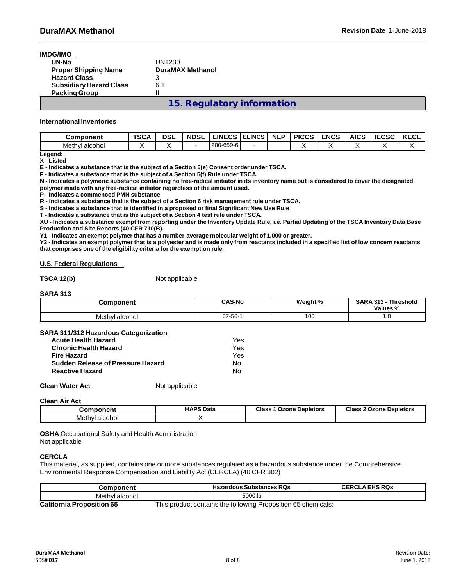| IMDG/IMO                       |                                   |
|--------------------------------|-----------------------------------|
| UN-No                          | UN1230                            |
| <b>Proper Shipping Name</b>    | <b>DuraMAX Methanol</b>           |
| <b>Hazard Class</b>            | 3                                 |
| <b>Subsidiary Hazard Class</b> | 6.1                               |
| <b>Packing Group</b>           | н                                 |
|                                | <b>15. Regulatory information</b> |

### **International Inventories**

| Component      | TSCA | dsl | <b>NDSL</b> | <b>EINECS</b> | <b>ELINCS</b> | <b>NL</b><br>Ð | <b>PICCS</b> | <b>ENCS</b> | <b>AICS</b> | <b>IECSC</b> | KECL |
|----------------|------|-----|-------------|---------------|---------------|----------------|--------------|-------------|-------------|--------------|------|
| Methyl alcohol |      |     |             | 200-659-6     |               |                |              |             |             |              |      |

**Legend: X - Listed**

**E - Indicates a substance that is the subject of a Section 5(e) Consent order under TSCA.**

**F - Indicates a substance that is the subject of a Section 5(f) Rule under TSCA.**

N - Indicates a polymeric substance containing no free-radical initiator in its inventory name but is considered to cover the designated **polymer made with any free-radical initiator regardless of the amount used.**

**P - Indicates a commenced PMN substance**

**R - Indicates a substance that is the subject of a Section 6 risk management rule under TSCA.**

**S - Indicates a substance that is identified in a proposed or final Significant New Use Rule**

**T - Indicates a substance that is the subject of a Section 4 test rule under TSCA.**

XU - Indicates a substance exempt from reporting under the Inventory Update Rule, i.e. Partial Updating of the TSCA Inventory Data Base **Production and Site Reports (40 CFR 710(B).**

**Y1 - Indicates an exempt polymer that has a number-average molecular weight of 1,000 or greater.**

Y2 - Indicates an exempt polymer that is a polyester and is made only from reactants included in a specified list of low concern reactants **that comprises one of the eligibility criteria for the exemption rule.**

### **U.S. Federal Regulations**

**TSCA 12(b)** Not applicable

### **SARA 313**

| Component      | <b>CAS-No</b> | <b>Weight %</b> | <b>SARA 313 -</b><br><b>Threshold</b><br>Values % |
|----------------|---------------|-----------------|---------------------------------------------------|
| Methyl alcohol | $67 - 56 - 1$ | 100             | 1. U                                              |

### **SARA 311/312 Hazardous Categorization**

| <b>Acute Health Hazard</b>        | Yes |
|-----------------------------------|-----|
| <b>Chronic Health Hazard</b>      | Yes |
| <b>Fire Hazard</b>                | Yes |
| Sudden Release of Pressure Hazard | N٥  |
| <b>Reactive Hazard</b>            | N٥  |

**Clean Water Act** Not applicable

**Clean Air Act**

| Component      | <b>HAPS Data</b><br>. | <b>Class 1 Ozone Depletors</b> | <b>Class 2 Ozone Depletors</b> |
|----------------|-----------------------|--------------------------------|--------------------------------|
| Methyl alcohol |                       |                                |                                |

**OSHA** Occupational Safety and Health Administration Not applicable

## **CERCLA**

This material, as supplied, contains one or more substances regulated as a hazardous substance under the Comprehensive Environmental Response Compensation and Liability Act (CERCLA) (40 CFR 302)

| oonent              | <b>Hazardous Substances RQs</b> | <b>THS RQs</b><br>CERCL |  |  |
|---------------------|---------------------------------|-------------------------|--|--|
| Methvl<br>' alcohol | 5000 lb                         |                         |  |  |

**California Proposition 65** This product contains the following Proposition 65 chemicals: